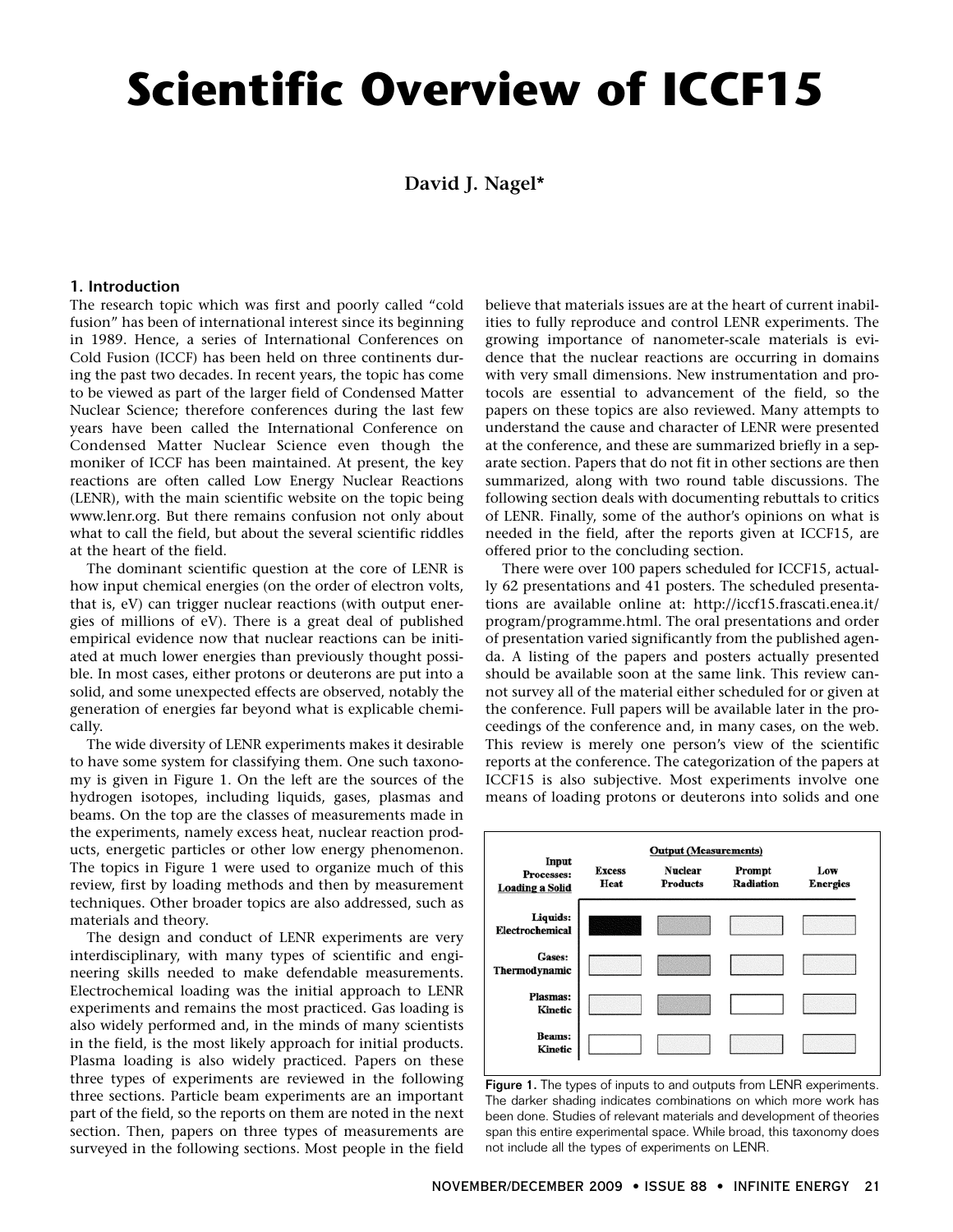# **Scientific Overview of ICCF15**

**David J. Nagel\***

# **1. Introduction**

The research topic which was first and poorly called "cold fusion" has been of international interest since its beginning in 1989. Hence, a series of International Conferences on Cold Fusion (ICCF) has been held on three continents during the past two decades. In recent years, the topic has come to be viewed as part of the larger field of Condensed Matter Nuclear Science; therefore conferences during the last few years have been called the International Conference on Condensed Matter Nuclear Science even though the moniker of ICCF has been maintained. At present, the key reactions are often called Low Energy Nuclear Reactions (LENR), with the main scientific website on the topic being www.lenr.org. But there remains confusion not only about what to call the field, but about the several scientific riddles at the heart of the field.

The dominant scientific question at the core of LENR is how input chemical energies (on the order of electron volts, that is, eV) can trigger nuclear reactions (with output energies of millions of eV). There is a great deal of published empirical evidence now that nuclear reactions can be initiated at much lower energies than previously thought possible. In most cases, either protons or deuterons are put into a solid, and some unexpected effects are observed, notably the generation of energies far beyond what is explicable chemically.

The wide diversity of LENR experiments makes it desirable to have some system for classifying them. One such taxonomy is given in Figure 1. On the left are the sources of the hydrogen isotopes, including liquids, gases, plasmas and beams. On the top are the classes of measurements made in the experiments, namely excess heat, nuclear reaction products, energetic particles or other low energy phenomenon. The topics in Figure 1 were used to organize much of this review, first by loading methods and then by measurement techniques. Other broader topics are also addressed, such as materials and theory.

The design and conduct of LENR experiments are very interdisciplinary, with many types of scientific and engineering skills needed to make defendable measurements. Electrochemical loading was the initial approach to LENR experiments and remains the most practiced. Gas loading is also widely performed and, in the minds of many scientists in the field, is the most likely approach for initial products. Plasma loading is also widely practiced. Papers on these three types of experiments are reviewed in the following three sections. Particle beam experiments are an important part of the field, so the reports on them are noted in the next section. Then, papers on three types of measurements are surveyed in the following sections. Most people in the field

believe that materials issues are at the heart of current inabilities to fully reproduce and control LENR experiments. The growing importance of nanometer-scale materials is evidence that the nuclear reactions are occurring in domains with very small dimensions. New instrumentation and protocols are essential to advancement of the field, so the papers on these topics are also reviewed. Many attempts to understand the cause and character of LENR were presented at the conference, and these are summarized briefly in a separate section. Papers that do not fit in other sections are then summarized, along with two round table discussions. The following section deals with documenting rebuttals to critics of LENR. Finally, some of the author's opinions on what is needed in the field, after the reports given at ICCF15, are offered prior to the concluding section.

There were over 100 papers scheduled for ICCF15, actually 62 presentations and 41 posters. The scheduled presentations are available online at: http://iccf15.frascati.enea.it/ program/programme.html. The oral presentations and order of presentation varied significantly from the published agenda. A listing of the papers and posters actually presented should be available soon at the same link. This review cannot survey all of the material either scheduled for or given at the conference. Full papers will be available later in the proceedings of the conference and, in many cases, on the web. This review is merely one person's view of the scientific reports at the conference. The categorization of the papers at ICCF15 is also subjective. Most experiments involve one means of loading protons or deuterons into solids and one



Figure 1. The types of inputs to and outputs from LENR experiments. The darker shading indicates combinations on which more work has been done. Studies of relevant materials and development of theories span this entire experimental space. While broad, this taxonomy does not include all the types of experiments on LENR.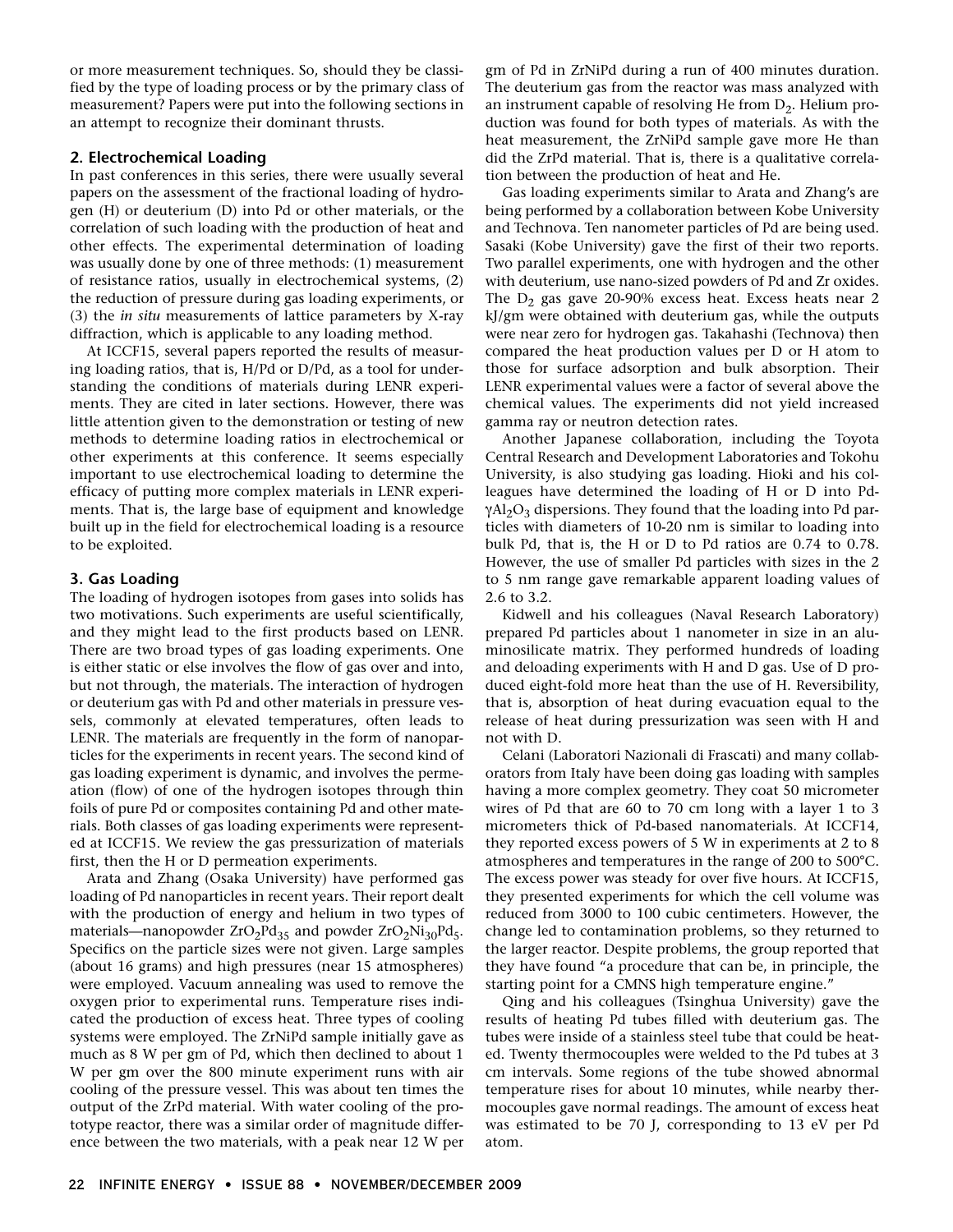or more measurement techniques. So, should they be classified by the type of loading process or by the primary class of measurement? Papers were put into the following sections in an attempt to recognize their dominant thrusts.

# **2. Electrochemical Loading**

In past conferences in this series, there were usually several papers on the assessment of the fractional loading of hydrogen (H) or deuterium (D) into Pd or other materials, or the correlation of such loading with the production of heat and other effects. The experimental determination of loading was usually done by one of three methods: (1) measurement of resistance ratios, usually in electrochemical systems, (2) the reduction of pressure during gas loading experiments, or (3) the *in situ* measurements of lattice parameters by X-ray diffraction, which is applicable to any loading method.

At ICCF15, several papers reported the results of measuring loading ratios, that is, H/Pd or D/Pd, as a tool for understanding the conditions of materials during LENR experiments. They are cited in later sections. However, there was little attention given to the demonstration or testing of new methods to determine loading ratios in electrochemical or other experiments at this conference. It seems especially important to use electrochemical loading to determine the efficacy of putting more complex materials in LENR experiments. That is, the large base of equipment and knowledge built up in the field for electrochemical loading is a resource to be exploited.

# **3. Gas Loading**

The loading of hydrogen isotopes from gases into solids has two motivations. Such experiments are useful scientifically, and they might lead to the first products based on LENR. There are two broad types of gas loading experiments. One is either static or else involves the flow of gas over and into, but not through, the materials. The interaction of hydrogen or deuterium gas with Pd and other materials in pressure vessels, commonly at elevated temperatures, often leads to LENR. The materials are frequently in the form of nanoparticles for the experiments in recent years. The second kind of gas loading experiment is dynamic, and involves the permeation (flow) of one of the hydrogen isotopes through thin foils of pure Pd or composites containing Pd and other materials. Both classes of gas loading experiments were represented at ICCF15. We review the gas pressurization of materials first, then the H or D permeation experiments.

Arata and Zhang (Osaka University) have performed gas loading of Pd nanoparticles in recent years. Their report dealt with the production of energy and helium in two types of materials—nanopowder  $ZrO_2Pd_{35}$  and powder  $ZrO_2Ni_{30}Pd_{5}$ . Specifics on the particle sizes were not given. Large samples (about 16 grams) and high pressures (near 15 atmospheres) were employed. Vacuum annealing was used to remove the oxygen prior to experimental runs. Temperature rises indicated the production of excess heat. Three types of cooling systems were employed. The ZrNiPd sample initially gave as much as 8 W per gm of Pd, which then declined to about 1 W per gm over the 800 minute experiment runs with air cooling of the pressure vessel. This was about ten times the output of the ZrPd material. With water cooling of the prototype reactor, there was a similar order of magnitude difference between the two materials, with a peak near 12 W per

gm of Pd in ZrNiPd during a run of 400 minutes duration. The deuterium gas from the reactor was mass analyzed with an instrument capable of resolving He from  $D_2$ . Helium production was found for both types of materials. As with the heat measurement, the ZrNiPd sample gave more He than did the ZrPd material. That is, there is a qualitative correlation between the production of heat and He.

Gas loading experiments similar to Arata and Zhang's are being performed by a collaboration between Kobe University and Technova. Ten nanometer particles of Pd are being used. Sasaki (Kobe University) gave the first of their two reports. Two parallel experiments, one with hydrogen and the other with deuterium, use nano-sized powders of Pd and Zr oxides. The  $D_2$  gas gave 20-90% excess heat. Excess heats near 2 kJ/gm were obtained with deuterium gas, while the outputs were near zero for hydrogen gas. Takahashi (Technova) then compared the heat production values per D or H atom to those for surface adsorption and bulk absorption. Their LENR experimental values were a factor of several above the chemical values. The experiments did not yield increased gamma ray or neutron detection rates.

Another Japanese collaboration, including the Toyota Central Research and Development Laboratories and Tokohu University, is also studying gas loading. Hioki and his colleagues have determined the loading of H or D into Pd- $\gamma$ Al<sub>2</sub>O<sub>3</sub> dispersions. They found that the loading into Pd particles with diameters of 10-20 nm is similar to loading into bulk Pd, that is, the H or D to Pd ratios are 0.74 to 0.78. However, the use of smaller Pd particles with sizes in the 2 to 5 nm range gave remarkable apparent loading values of 2.6 to 3.2.

Kidwell and his colleagues (Naval Research Laboratory) prepared Pd particles about 1 nanometer in size in an aluminosilicate matrix. They performed hundreds of loading and deloading experiments with H and D gas. Use of D produced eight-fold more heat than the use of H. Reversibility, that is, absorption of heat during evacuation equal to the release of heat during pressurization was seen with H and not with D.

Celani (Laboratori Nazionali di Frascati) and many collaborators from Italy have been doing gas loading with samples having a more complex geometry. They coat 50 micrometer wires of Pd that are 60 to 70 cm long with a layer 1 to 3 micrometers thick of Pd-based nanomaterials. At ICCF14, they reported excess powers of 5 W in experiments at 2 to 8 atmospheres and temperatures in the range of 200 to 500°C. The excess power was steady for over five hours. At ICCF15, they presented experiments for which the cell volume was reduced from 3000 to 100 cubic centimeters. However, the change led to contamination problems, so they returned to the larger reactor. Despite problems, the group reported that they have found "a procedure that can be, in principle, the starting point for a CMNS high temperature engine."

Qing and his colleagues (Tsinghua University) gave the results of heating Pd tubes filled with deuterium gas. The tubes were inside of a stainless steel tube that could be heated. Twenty thermocouples were welded to the Pd tubes at 3 cm intervals. Some regions of the tube showed abnormal temperature rises for about 10 minutes, while nearby thermocouples gave normal readings. The amount of excess heat was estimated to be 70 J, corresponding to 13 eV per Pd atom.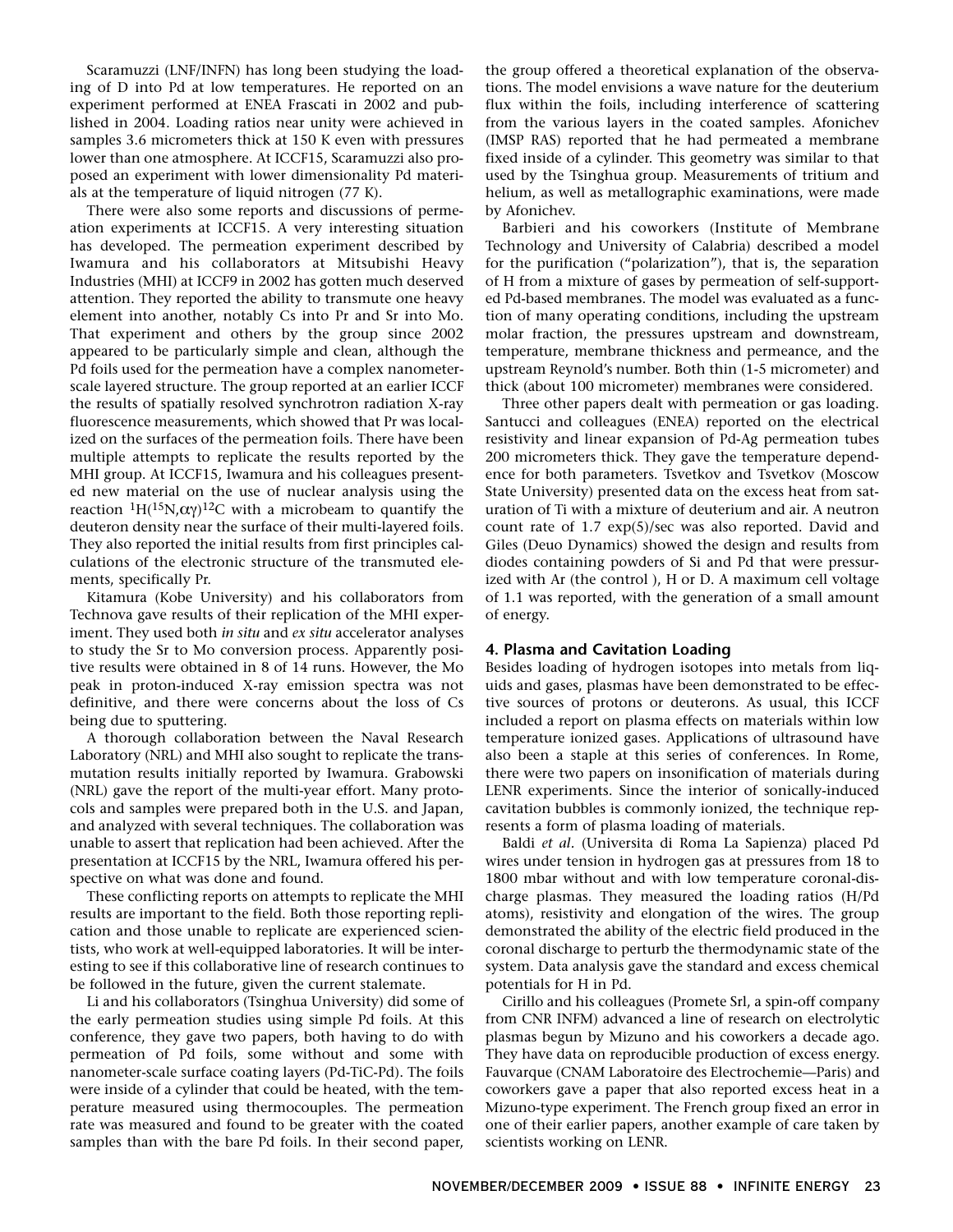Scaramuzzi (LNF/INFN) has long been studying the loading of D into Pd at low temperatures. He reported on an experiment performed at ENEA Frascati in 2002 and published in 2004. Loading ratios near unity were achieved in samples 3.6 micrometers thick at 150 K even with pressures lower than one atmosphere. At ICCF15, Scaramuzzi also proposed an experiment with lower dimensionality Pd materials at the temperature of liquid nitrogen (77 K).

There were also some reports and discussions of permeation experiments at ICCF15. A very interesting situation has developed. The permeation experiment described by Iwamura and his collaborators at Mitsubishi Heavy Industries (MHI) at ICCF9 in 2002 has gotten much deserved attention. They reported the ability to transmute one heavy element into another, notably Cs into Pr and Sr into Mo. That experiment and others by the group since 2002 appeared to be particularly simple and clean, although the Pd foils used for the permeation have a complex nanometerscale layered structure. The group reported at an earlier ICCF the results of spatially resolved synchrotron radiation X-ray fluorescence measurements, which showed that Pr was localized on the surfaces of the permeation foils. There have been multiple attempts to replicate the results reported by the MHI group. At ICCF15, Iwamura and his colleagues presented new material on the use of nuclear analysis using the reaction  ${}^{1}H({}^{15}N,\alpha\gamma) {}^{12}C$  with a microbeam to quantify the deuteron density near the surface of their multi-layered foils. They also reported the initial results from first principles calculations of the electronic structure of the transmuted elements, specifically Pr.

Kitamura (Kobe University) and his collaborators from Technova gave results of their replication of the MHI experiment. They used both *in situ* and *ex situ* accelerator analyses to study the Sr to Mo conversion process. Apparently positive results were obtained in 8 of 14 runs. However, the Mo peak in proton-induced X-ray emission spectra was not definitive, and there were concerns about the loss of Cs being due to sputtering.

A thorough collaboration between the Naval Research Laboratory (NRL) and MHI also sought to replicate the transmutation results initially reported by Iwamura. Grabowski (NRL) gave the report of the multi-year effort. Many protocols and samples were prepared both in the U.S. and Japan, and analyzed with several techniques. The collaboration was unable to assert that replication had been achieved. After the presentation at ICCF15 by the NRL, Iwamura offered his perspective on what was done and found.

These conflicting reports on attempts to replicate the MHI results are important to the field. Both those reporting replication and those unable to replicate are experienced scientists, who work at well-equipped laboratories. It will be interesting to see if this collaborative line of research continues to be followed in the future, given the current stalemate.

Li and his collaborators (Tsinghua University) did some of the early permeation studies using simple Pd foils. At this conference, they gave two papers, both having to do with permeation of Pd foils, some without and some with nanometer-scale surface coating layers (Pd-TiC-Pd). The foils were inside of a cylinder that could be heated, with the temperature measured using thermocouples. The permeation rate was measured and found to be greater with the coated samples than with the bare Pd foils. In their second paper,

the group offered a theoretical explanation of the observations. The model envisions a wave nature for the deuterium flux within the foils, including interference of scattering from the various layers in the coated samples. Afonichev (IMSP RAS) reported that he had permeated a membrane fixed inside of a cylinder. This geometry was similar to that used by the Tsinghua group. Measurements of tritium and helium, as well as metallographic examinations, were made by Afonichev.

Barbieri and his coworkers (Institute of Membrane Technology and University of Calabria) described a model for the purification ("polarization"), that is, the separation of H from a mixture of gases by permeation of self-supported Pd-based membranes. The model was evaluated as a function of many operating conditions, including the upstream molar fraction, the pressures upstream and downstream, temperature, membrane thickness and permeance, and the upstream Reynold's number. Both thin (1-5 micrometer) and thick (about 100 micrometer) membranes were considered.

Three other papers dealt with permeation or gas loading. Santucci and colleagues (ENEA) reported on the electrical resistivity and linear expansion of Pd-Ag permeation tubes 200 micrometers thick. They gave the temperature dependence for both parameters. Tsvetkov and Tsvetkov (Moscow State University) presented data on the excess heat from saturation of Ti with a mixture of deuterium and air. A neutron count rate of 1.7 exp(5)/sec was also reported. David and Giles (Deuo Dynamics) showed the design and results from diodes containing powders of Si and Pd that were pressurized with Ar (the control ), H or D. A maximum cell voltage of 1.1 was reported, with the generation of a small amount of energy.

#### **4. Plasma and Cavitation Loading**

Besides loading of hydrogen isotopes into metals from liquids and gases, plasmas have been demonstrated to be effective sources of protons or deuterons. As usual, this ICCF included a report on plasma effects on materials within low temperature ionized gases. Applications of ultrasound have also been a staple at this series of conferences. In Rome, there were two papers on insonification of materials during LENR experiments. Since the interior of sonically-induced cavitation bubbles is commonly ionized, the technique represents a form of plasma loading of materials.

Baldi *et al.* (Universita di Roma La Sapienza) placed Pd wires under tension in hydrogen gas at pressures from 18 to 1800 mbar without and with low temperature coronal-discharge plasmas. They measured the loading ratios (H/Pd atoms), resistivity and elongation of the wires. The group demonstrated the ability of the electric field produced in the coronal discharge to perturb the thermodynamic state of the system. Data analysis gave the standard and excess chemical potentials for H in Pd.

Cirillo and his colleagues (Promete Srl, a spin-off company from CNR INFM) advanced a line of research on electrolytic plasmas begun by Mizuno and his coworkers a decade ago. They have data on reproducible production of excess energy. Fauvarque (CNAM Laboratoire des Electrochemie—Paris) and coworkers gave a paper that also reported excess heat in a Mizuno-type experiment. The French group fixed an error in one of their earlier papers, another example of care taken by scientists working on LENR.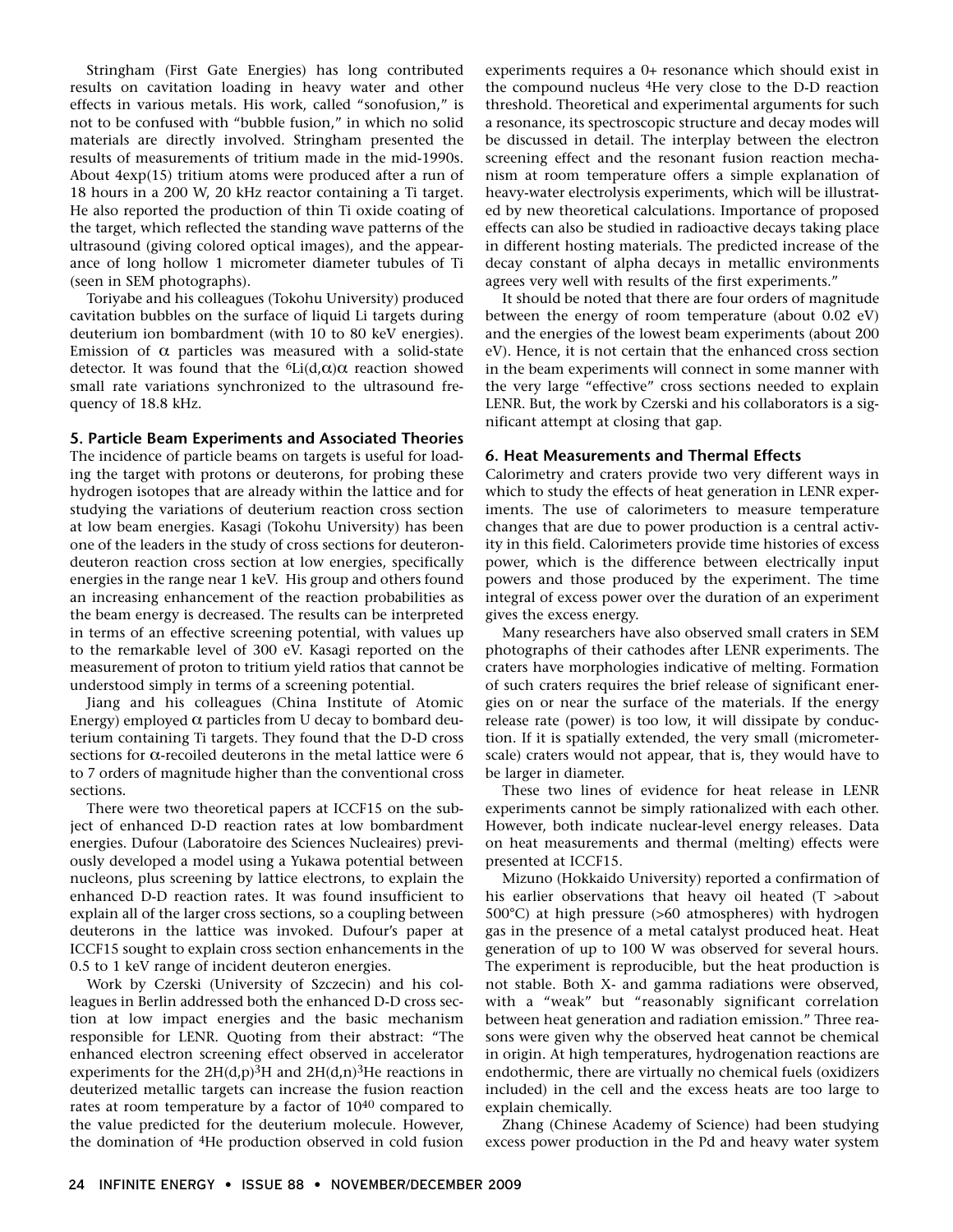Stringham (First Gate Energies) has long contributed results on cavitation loading in heavy water and other effects in various metals. His work, called "sonofusion," is not to be confused with "bubble fusion," in which no solid materials are directly involved. Stringham presented the results of measurements of tritium made in the mid-1990s. About 4exp(15) tritium atoms were produced after a run of 18 hours in a 200 W, 20 kHz reactor containing a Ti target. He also reported the production of thin Ti oxide coating of the target, which reflected the standing wave patterns of the ultrasound (giving colored optical images), and the appearance of long hollow 1 micrometer diameter tubules of Ti (seen in SEM photographs).

Toriyabe and his colleagues (Tokohu University) produced cavitation bubbles on the surface of liquid Li targets during deuterium ion bombardment (with 10 to 80 keV energies). Emission of  $\alpha$  particles was measured with a solid-state detector. It was found that the <sup>6</sup>Li(d, $\alpha$ ) $\alpha$  reaction showed small rate variations synchronized to the ultrasound frequency of 18.8 kHz.

# **5. Particle Beam Experiments and Associated Theories**

The incidence of particle beams on targets is useful for loading the target with protons or deuterons, for probing these hydrogen isotopes that are already within the lattice and for studying the variations of deuterium reaction cross section at low beam energies. Kasagi (Tokohu University) has been one of the leaders in the study of cross sections for deuterondeuteron reaction cross section at low energies, specifically energies in the range near 1 keV. His group and others found an increasing enhancement of the reaction probabilities as the beam energy is decreased. The results can be interpreted in terms of an effective screening potential, with values up to the remarkable level of 300 eV. Kasagi reported on the measurement of proton to tritium yield ratios that cannot be understood simply in terms of a screening potential.

Jiang and his colleagues (China Institute of Atomic Energy) employed  $\alpha$  particles from U decay to bombard deuterium containing Ti targets. They found that the D-D cross sections for α-recoiled deuterons in the metal lattice were 6 to 7 orders of magnitude higher than the conventional cross sections.

There were two theoretical papers at ICCF15 on the subject of enhanced D-D reaction rates at low bombardment energies. Dufour (Laboratoire des Sciences Nucleaires) previously developed a model using a Yukawa potential between nucleons, plus screening by lattice electrons, to explain the enhanced D-D reaction rates. It was found insufficient to explain all of the larger cross sections, so a coupling between deuterons in the lattice was invoked. Dufour's paper at ICCF15 sought to explain cross section enhancements in the 0.5 to 1 keV range of incident deuteron energies.

Work by Czerski (University of Szczecin) and his colleagues in Berlin addressed both the enhanced D-D cross section at low impact energies and the basic mechanism responsible for LENR. Quoting from their abstract: "The enhanced electron screening effect observed in accelerator experiments for the  $2H(d,p)^3H$  and  $2H(d,n)^3He$  reactions in deuterized metallic targets can increase the fusion reaction rates at room temperature by a factor of  $10^{40}$  compared to the value predicted for the deuterium molecule. However, the domination of 4He production observed in cold fusion experiments requires a 0+ resonance which should exist in the compound nucleus 4He very close to the D-D reaction threshold. Theoretical and experimental arguments for such a resonance, its spectroscopic structure and decay modes will be discussed in detail. The interplay between the electron screening effect and the resonant fusion reaction mechanism at room temperature offers a simple explanation of heavy-water electrolysis experiments, which will be illustrated by new theoretical calculations. Importance of proposed effects can also be studied in radioactive decays taking place in different hosting materials. The predicted increase of the decay constant of alpha decays in metallic environments agrees very well with results of the first experiments."

It should be noted that there are four orders of magnitude between the energy of room temperature (about 0.02 eV) and the energies of the lowest beam experiments (about 200 eV). Hence, it is not certain that the enhanced cross section in the beam experiments will connect in some manner with the very large "effective" cross sections needed to explain LENR. But, the work by Czerski and his collaborators is a significant attempt at closing that gap.

# **6. Heat Measurements and Thermal Effects**

Calorimetry and craters provide two very different ways in which to study the effects of heat generation in LENR experiments. The use of calorimeters to measure temperature changes that are due to power production is a central activity in this field. Calorimeters provide time histories of excess power, which is the difference between electrically input powers and those produced by the experiment. The time integral of excess power over the duration of an experiment gives the excess energy.

Many researchers have also observed small craters in SEM photographs of their cathodes after LENR experiments. The craters have morphologies indicative of melting. Formation of such craters requires the brief release of significant energies on or near the surface of the materials. If the energy release rate (power) is too low, it will dissipate by conduction. If it is spatially extended, the very small (micrometerscale) craters would not appear, that is, they would have to be larger in diameter.

These two lines of evidence for heat release in LENR experiments cannot be simply rationalized with each other. However, both indicate nuclear-level energy releases. Data on heat measurements and thermal (melting) effects were presented at ICCF15.

Mizuno (Hokkaido University) reported a confirmation of his earlier observations that heavy oil heated (T >about 500°C) at high pressure (>60 atmospheres) with hydrogen gas in the presence of a metal catalyst produced heat. Heat generation of up to 100 W was observed for several hours. The experiment is reproducible, but the heat production is not stable. Both X- and gamma radiations were observed, with a "weak" but "reasonably significant correlation between heat generation and radiation emission." Three reasons were given why the observed heat cannot be chemical in origin. At high temperatures, hydrogenation reactions are endothermic, there are virtually no chemical fuels (oxidizers included) in the cell and the excess heats are too large to explain chemically.

Zhang (Chinese Academy of Science) had been studying excess power production in the Pd and heavy water system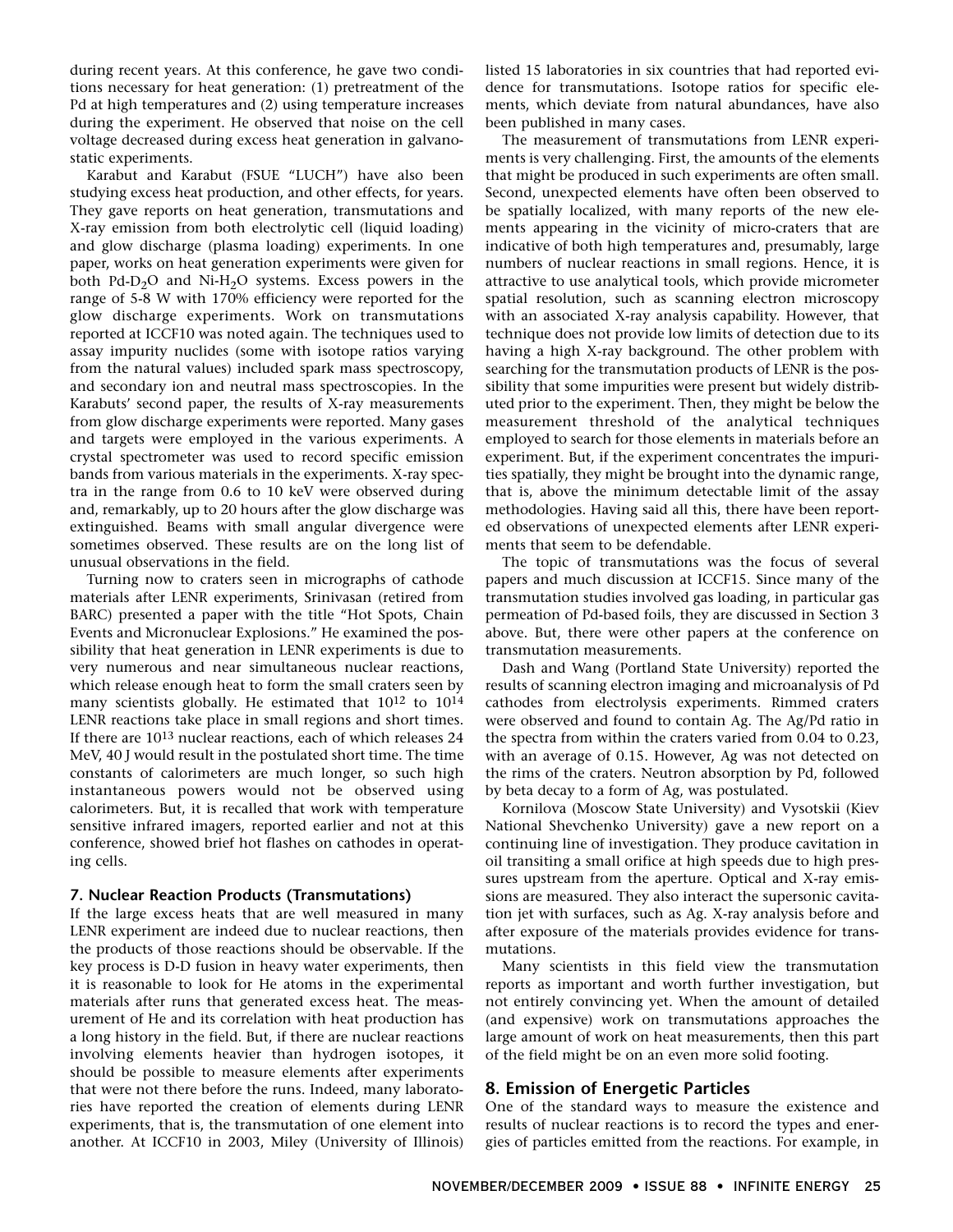during recent years. At this conference, he gave two conditions necessary for heat generation: (1) pretreatment of the Pd at high temperatures and (2) using temperature increases during the experiment. He observed that noise on the cell voltage decreased during excess heat generation in galvanostatic experiments.

Karabut and Karabut (FSUE "LUCH") have also been studying excess heat production, and other effects, for years. They gave reports on heat generation, transmutations and X-ray emission from both electrolytic cell (liquid loading) and glow discharge (plasma loading) experiments. In one paper, works on heat generation experiments were given for both  $Pd-D_2O$  and Ni-H<sub>2</sub>O systems. Excess powers in the range of 5-8 W with 170% efficiency were reported for the glow discharge experiments. Work on transmutations reported at ICCF10 was noted again. The techniques used to assay impurity nuclides (some with isotope ratios varying from the natural values) included spark mass spectroscopy, and secondary ion and neutral mass spectroscopies. In the Karabuts' second paper, the results of X-ray measurements from glow discharge experiments were reported. Many gases and targets were employed in the various experiments. A crystal spectrometer was used to record specific emission bands from various materials in the experiments. X-ray spectra in the range from 0.6 to 10 keV were observed during and, remarkably, up to 20 hours after the glow discharge was extinguished. Beams with small angular divergence were sometimes observed. These results are on the long list of unusual observations in the field.

Turning now to craters seen in micrographs of cathode materials after LENR experiments, Srinivasan (retired from BARC) presented a paper with the title "Hot Spots, Chain Events and Micronuclear Explosions." He examined the possibility that heat generation in LENR experiments is due to very numerous and near simultaneous nuclear reactions, which release enough heat to form the small craters seen by many scientists globally. He estimated that 1012 to 1014 LENR reactions take place in small regions and short times. If there are 10<sup>13</sup> nuclear reactions, each of which releases 24 MeV, 40 J would result in the postulated short time. The time constants of calorimeters are much longer, so such high instantaneous powers would not be observed using calorimeters. But, it is recalled that work with temperature sensitive infrared imagers, reported earlier and not at this conference, showed brief hot flashes on cathodes in operating cells.

#### **7. Nuclear Reaction Products (Transmutations)**

If the large excess heats that are well measured in many LENR experiment are indeed due to nuclear reactions, then the products of those reactions should be observable. If the key process is D-D fusion in heavy water experiments, then it is reasonable to look for He atoms in the experimental materials after runs that generated excess heat. The measurement of He and its correlation with heat production has a long history in the field. But, if there are nuclear reactions involving elements heavier than hydrogen isotopes, it should be possible to measure elements after experiments that were not there before the runs. Indeed, many laboratories have reported the creation of elements during LENR experiments, that is, the transmutation of one element into another. At ICCF10 in 2003, Miley (University of Illinois)

listed 15 laboratories in six countries that had reported evidence for transmutations. Isotope ratios for specific elements, which deviate from natural abundances, have also been published in many cases.

The measurement of transmutations from LENR experiments is very challenging. First, the amounts of the elements that might be produced in such experiments are often small. Second, unexpected elements have often been observed to be spatially localized, with many reports of the new elements appearing in the vicinity of micro-craters that are indicative of both high temperatures and, presumably, large numbers of nuclear reactions in small regions. Hence, it is attractive to use analytical tools, which provide micrometer spatial resolution, such as scanning electron microscopy with an associated X-ray analysis capability. However, that technique does not provide low limits of detection due to its having a high X-ray background. The other problem with searching for the transmutation products of LENR is the possibility that some impurities were present but widely distributed prior to the experiment. Then, they might be below the measurement threshold of the analytical techniques employed to search for those elements in materials before an experiment. But, if the experiment concentrates the impurities spatially, they might be brought into the dynamic range, that is, above the minimum detectable limit of the assay methodologies. Having said all this, there have been reported observations of unexpected elements after LENR experiments that seem to be defendable.

The topic of transmutations was the focus of several papers and much discussion at ICCF15. Since many of the transmutation studies involved gas loading, in particular gas permeation of Pd-based foils, they are discussed in Section 3 above. But, there were other papers at the conference on transmutation measurements.

Dash and Wang (Portland State University) reported the results of scanning electron imaging and microanalysis of Pd cathodes from electrolysis experiments. Rimmed craters were observed and found to contain Ag. The Ag/Pd ratio in the spectra from within the craters varied from 0.04 to 0.23, with an average of 0.15. However, Ag was not detected on the rims of the craters. Neutron absorption by Pd, followed by beta decay to a form of Ag, was postulated.

Kornilova (Moscow State University) and Vysotskii (Kiev National Shevchenko University) gave a new report on a continuing line of investigation. They produce cavitation in oil transiting a small orifice at high speeds due to high pressures upstream from the aperture. Optical and X-ray emissions are measured. They also interact the supersonic cavitation jet with surfaces, such as Ag. X-ray analysis before and after exposure of the materials provides evidence for transmutations.

Many scientists in this field view the transmutation reports as important and worth further investigation, but not entirely convincing yet. When the amount of detailed (and expensive) work on transmutations approaches the large amount of work on heat measurements, then this part of the field might be on an even more solid footing.

# **8. Emission of Energetic Particles**

One of the standard ways to measure the existence and results of nuclear reactions is to record the types and energies of particles emitted from the reactions. For example, in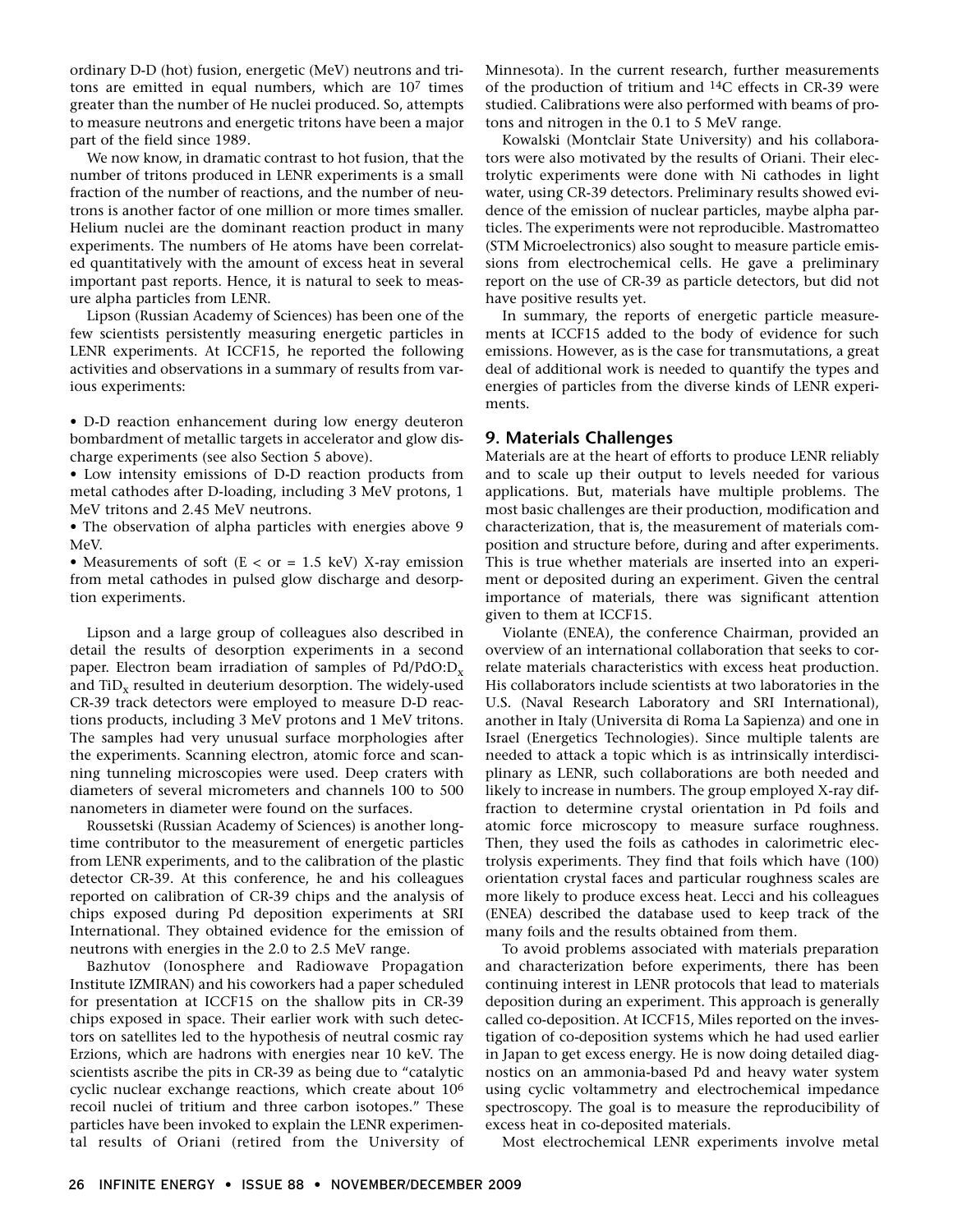ordinary D-D (hot) fusion, energetic (MeV) neutrons and tritons are emitted in equal numbers, which are  $10<sup>7</sup>$  times greater than the number of He nuclei produced. So, attempts to measure neutrons and energetic tritons have been a major part of the field since 1989.

We now know, in dramatic contrast to hot fusion, that the number of tritons produced in LENR experiments is a small fraction of the number of reactions, and the number of neutrons is another factor of one million or more times smaller. Helium nuclei are the dominant reaction product in many experiments. The numbers of He atoms have been correlated quantitatively with the amount of excess heat in several important past reports. Hence, it is natural to seek to measure alpha particles from LENR.

Lipson (Russian Academy of Sciences) has been one of the few scientists persistently measuring energetic particles in LENR experiments. At ICCF15, he reported the following activities and observations in a summary of results from various experiments:

• D-D reaction enhancement during low energy deuteron bombardment of metallic targets in accelerator and glow discharge experiments (see also Section 5 above).

• Low intensity emissions of D-D reaction products from metal cathodes after D-loading, including 3 MeV protons, 1 MeV tritons and 2.45 MeV neutrons.

• The observation of alpha particles with energies above 9 MeV.

• Measurements of soft ( $E < or = 1.5$  keV) X-ray emission from metal cathodes in pulsed glow discharge and desorption experiments.

Lipson and a large group of colleagues also described in detail the results of desorption experiments in a second paper. Electron beam irradiation of samples of  $Pd/PdO:D<sub>x</sub>$ and Ti $D_x$  resulted in deuterium desorption. The widely-used CR-39 track detectors were employed to measure D-D reactions products, including 3 MeV protons and 1 MeV tritons. The samples had very unusual surface morphologies after the experiments. Scanning electron, atomic force and scanning tunneling microscopies were used. Deep craters with diameters of several micrometers and channels 100 to 500 nanometers in diameter were found on the surfaces.

Roussetski (Russian Academy of Sciences) is another longtime contributor to the measurement of energetic particles from LENR experiments, and to the calibration of the plastic detector CR-39. At this conference, he and his colleagues reported on calibration of CR-39 chips and the analysis of chips exposed during Pd deposition experiments at SRI International. They obtained evidence for the emission of neutrons with energies in the 2.0 to 2.5 MeV range.

Bazhutov (Ionosphere and Radiowave Propagation Institute IZMIRAN) and his coworkers had a paper scheduled for presentation at ICCF15 on the shallow pits in CR-39 chips exposed in space. Their earlier work with such detectors on satellites led to the hypothesis of neutral cosmic ray Erzions, which are hadrons with energies near 10 keV. The scientists ascribe the pits in CR-39 as being due to "catalytic cyclic nuclear exchange reactions, which create about 106 recoil nuclei of tritium and three carbon isotopes." These particles have been invoked to explain the LENR experimental results of Oriani (retired from the University of

Minnesota). In the current research, further measurements of the production of tritium and 14C effects in CR-39 were studied. Calibrations were also performed with beams of protons and nitrogen in the 0.1 to 5 MeV range.

Kowalski (Montclair State University) and his collaborators were also motivated by the results of Oriani. Their electrolytic experiments were done with Ni cathodes in light water, using CR-39 detectors. Preliminary results showed evidence of the emission of nuclear particles, maybe alpha particles. The experiments were not reproducible. Mastromatteo (STM Microelectronics) also sought to measure particle emissions from electrochemical cells. He gave a preliminary report on the use of CR-39 as particle detectors, but did not have positive results yet.

In summary, the reports of energetic particle measurements at ICCF15 added to the body of evidence for such emissions. However, as is the case for transmutations, a great deal of additional work is needed to quantify the types and energies of particles from the diverse kinds of LENR experiments.

# **9. Materials Challenges**

Materials are at the heart of efforts to produce LENR reliably and to scale up their output to levels needed for various applications. But, materials have multiple problems. The most basic challenges are their production, modification and characterization, that is, the measurement of materials composition and structure before, during and after experiments. This is true whether materials are inserted into an experiment or deposited during an experiment. Given the central importance of materials, there was significant attention given to them at ICCF15.

Violante (ENEA), the conference Chairman, provided an overview of an international collaboration that seeks to correlate materials characteristics with excess heat production. His collaborators include scientists at two laboratories in the U.S. (Naval Research Laboratory and SRI International), another in Italy (Universita di Roma La Sapienza) and one in Israel (Energetics Technologies). Since multiple talents are needed to attack a topic which is as intrinsically interdisciplinary as LENR, such collaborations are both needed and likely to increase in numbers. The group employed X-ray diffraction to determine crystal orientation in Pd foils and atomic force microscopy to measure surface roughness. Then, they used the foils as cathodes in calorimetric electrolysis experiments. They find that foils which have (100) orientation crystal faces and particular roughness scales are more likely to produce excess heat. Lecci and his colleagues (ENEA) described the database used to keep track of the many foils and the results obtained from them.

To avoid problems associated with materials preparation and characterization before experiments, there has been continuing interest in LENR protocols that lead to materials deposition during an experiment. This approach is generally called co-deposition. At ICCF15, Miles reported on the investigation of co-deposition systems which he had used earlier in Japan to get excess energy. He is now doing detailed diagnostics on an ammonia-based Pd and heavy water system using cyclic voltammetry and electrochemical impedance spectroscopy. The goal is to measure the reproducibility of excess heat in co-deposited materials.

Most electrochemical LENR experiments involve metal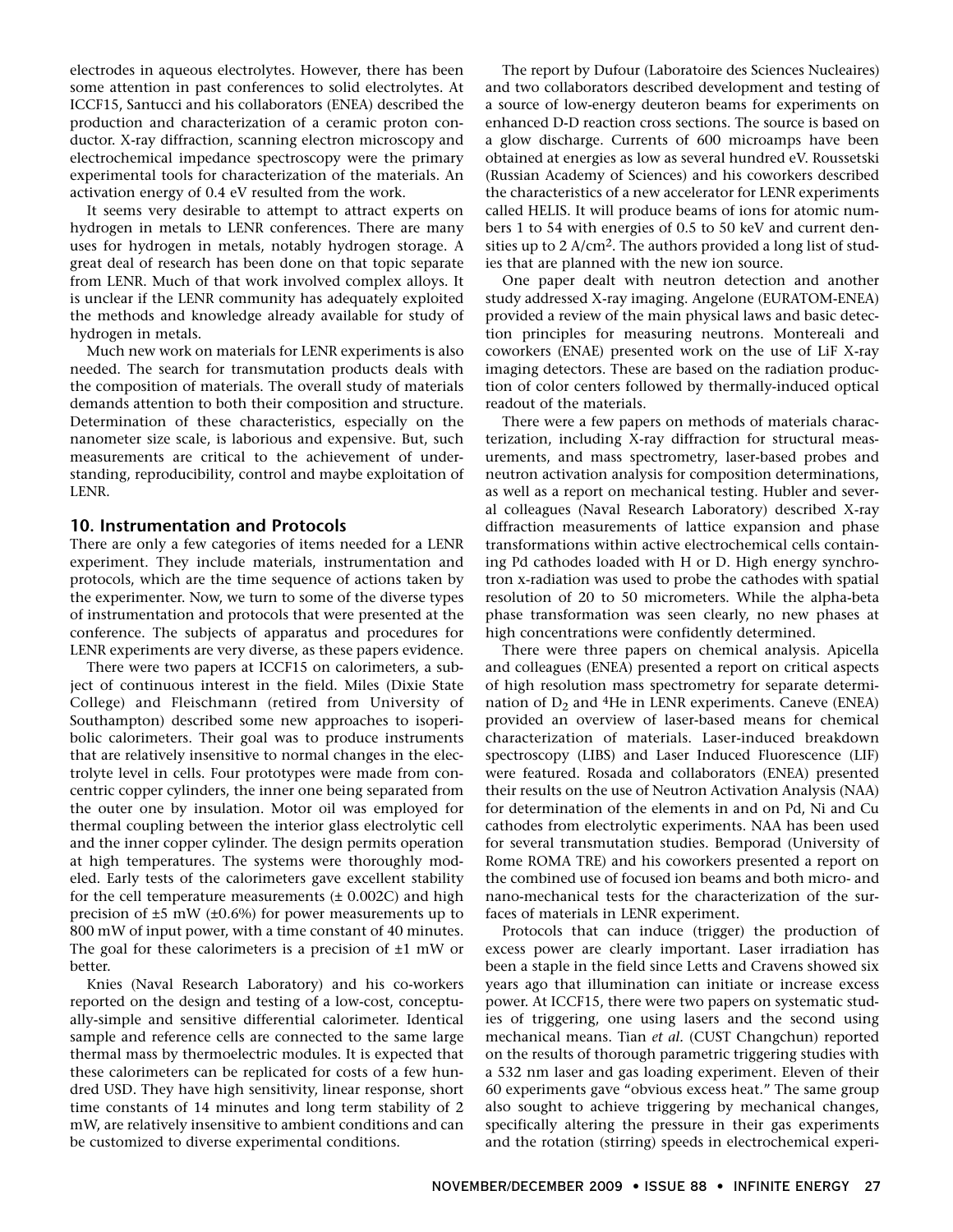electrodes in aqueous electrolytes. However, there has been some attention in past conferences to solid electrolytes. At ICCF15, Santucci and his collaborators (ENEA) described the production and characterization of a ceramic proton conductor. X-ray diffraction, scanning electron microscopy and electrochemical impedance spectroscopy were the primary experimental tools for characterization of the materials. An activation energy of 0.4 eV resulted from the work.

It seems very desirable to attempt to attract experts on hydrogen in metals to LENR conferences. There are many uses for hydrogen in metals, notably hydrogen storage. A great deal of research has been done on that topic separate from LENR. Much of that work involved complex alloys. It is unclear if the LENR community has adequately exploited the methods and knowledge already available for study of hydrogen in metals.

Much new work on materials for LENR experiments is also needed. The search for transmutation products deals with the composition of materials. The overall study of materials demands attention to both their composition and structure. Determination of these characteristics, especially on the nanometer size scale, is laborious and expensive. But, such measurements are critical to the achievement of understanding, reproducibility, control and maybe exploitation of LENR.

# **10. Instrumentation and Protocols**

There are only a few categories of items needed for a LENR experiment. They include materials, instrumentation and protocols, which are the time sequence of actions taken by the experimenter. Now, we turn to some of the diverse types of instrumentation and protocols that were presented at the conference. The subjects of apparatus and procedures for LENR experiments are very diverse, as these papers evidence.

There were two papers at ICCF15 on calorimeters, a subject of continuous interest in the field. Miles (Dixie State College) and Fleischmann (retired from University of Southampton) described some new approaches to isoperibolic calorimeters. Their goal was to produce instruments that are relatively insensitive to normal changes in the electrolyte level in cells. Four prototypes were made from concentric copper cylinders, the inner one being separated from the outer one by insulation. Motor oil was employed for thermal coupling between the interior glass electrolytic cell and the inner copper cylinder. The design permits operation at high temperatures. The systems were thoroughly modeled. Early tests of the calorimeters gave excellent stability for the cell temperature measurements  $(± 0.002C)$  and high precision of  $\pm 5$  mW ( $\pm 0.6$ %) for power measurements up to 800 mW of input power, with a time constant of 40 minutes. The goal for these calorimeters is a precision of  $\pm 1$  mW or better.

Knies (Naval Research Laboratory) and his co-workers reported on the design and testing of a low-cost, conceptually-simple and sensitive differential calorimeter. Identical sample and reference cells are connected to the same large thermal mass by thermoelectric modules. It is expected that these calorimeters can be replicated for costs of a few hundred USD. They have high sensitivity, linear response, short time constants of 14 minutes and long term stability of 2 mW, are relatively insensitive to ambient conditions and can be customized to diverse experimental conditions.

The report by Dufour (Laboratoire des Sciences Nucleaires) and two collaborators described development and testing of a source of low-energy deuteron beams for experiments on enhanced D-D reaction cross sections. The source is based on a glow discharge. Currents of 600 microamps have been obtained at energies as low as several hundred eV. Roussetski (Russian Academy of Sciences) and his coworkers described the characteristics of a new accelerator for LENR experiments called HELIS. It will produce beams of ions for atomic numbers 1 to 54 with energies of 0.5 to 50 keV and current densities up to 2 A/cm<sup>2</sup>. The authors provided a long list of studies that are planned with the new ion source.

One paper dealt with neutron detection and another study addressed X-ray imaging. Angelone (EURATOM-ENEA) provided a review of the main physical laws and basic detection principles for measuring neutrons. Montereali and coworkers (ENAE) presented work on the use of LiF X-ray imaging detectors. These are based on the radiation production of color centers followed by thermally-induced optical readout of the materials.

There were a few papers on methods of materials characterization, including X-ray diffraction for structural measurements, and mass spectrometry, laser-based probes and neutron activation analysis for composition determinations, as well as a report on mechanical testing. Hubler and several colleagues (Naval Research Laboratory) described X-ray diffraction measurements of lattice expansion and phase transformations within active electrochemical cells containing Pd cathodes loaded with H or D. High energy synchrotron x-radiation was used to probe the cathodes with spatial resolution of 20 to 50 micrometers. While the alpha-beta phase transformation was seen clearly, no new phases at high concentrations were confidently determined.

There were three papers on chemical analysis. Apicella and colleagues (ENEA) presented a report on critical aspects of high resolution mass spectrometry for separate determination of  $D_2$  and <sup>4</sup>He in LENR experiments. Caneve (ENEA) provided an overview of laser-based means for chemical characterization of materials. Laser-induced breakdown spectroscopy (LIBS) and Laser Induced Fluorescence (LIF) were featured. Rosada and collaborators (ENEA) presented their results on the use of Neutron Activation Analysis (NAA) for determination of the elements in and on Pd, Ni and Cu cathodes from electrolytic experiments. NAA has been used for several transmutation studies. Bemporad (University of Rome ROMA TRE) and his coworkers presented a report on the combined use of focused ion beams and both micro- and nano-mechanical tests for the characterization of the surfaces of materials in LENR experiment.

Protocols that can induce (trigger) the production of excess power are clearly important. Laser irradiation has been a staple in the field since Letts and Cravens showed six years ago that illumination can initiate or increase excess power. At ICCF15, there were two papers on systematic studies of triggering, one using lasers and the second using mechanical means. Tian *et al.* (CUST Changchun) reported on the results of thorough parametric triggering studies with a 532 nm laser and gas loading experiment. Eleven of their 60 experiments gave "obvious excess heat." The same group also sought to achieve triggering by mechanical changes, specifically altering the pressure in their gas experiments and the rotation (stirring) speeds in electrochemical experi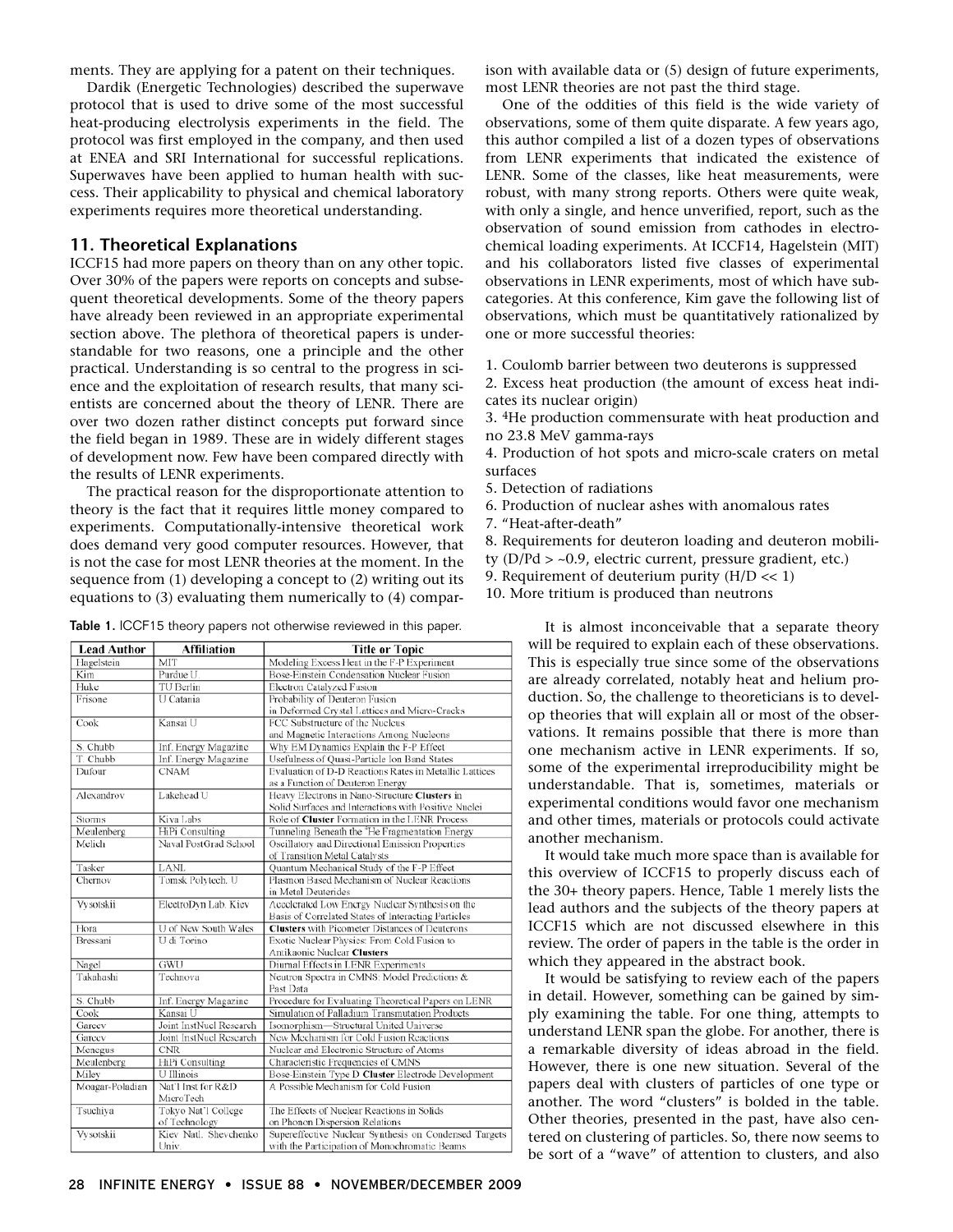ments. They are applying for a patent on their techniques.

Dardik (Energetic Technologies) described the superwave protocol that is used to drive some of the most successful heat-producing electrolysis experiments in the field. The protocol was first employed in the company, and then used at ENEA and SRI International for successful replications. Superwaves have been applied to human health with success. Their applicability to physical and chemical laboratory experiments requires more theoretical understanding.

#### **11. Theoretical Explanations**

ICCF15 had more papers on theory than on any other topic. Over 30% of the papers were reports on concepts and subsequent theoretical developments. Some of the theory papers have already been reviewed in an appropriate experimental section above. The plethora of theoretical papers is understandable for two reasons, one a principle and the other practical. Understanding is so central to the progress in science and the exploitation of research results, that many scientists are concerned about the theory of LENR. There are over two dozen rather distinct concepts put forward since the field began in 1989. These are in widely different stages of development now. Few have been compared directly with the results of LENR experiments.

The practical reason for the disproportionate attention to theory is the fact that it requires little money compared to experiments. Computationally-intensive theoretical work does demand very good computer resources. However, that is not the case for most LENR theories at the moment. In the sequence from (1) developing a concept to (2) writing out its equations to (3) evaluating them numerically to (4) compar-

ison with available data or (5) design of future experiments, most LENR theories are not past the third stage.

One of the oddities of this field is the wide variety of observations, some of them quite disparate. A few years ago, this author compiled a list of a dozen types of observations from LENR experiments that indicated the existence of LENR. Some of the classes, like heat measurements, were robust, with many strong reports. Others were quite weak, with only a single, and hence unverified, report, such as the observation of sound emission from cathodes in electrochemical loading experiments. At ICCF14, Hagelstein (MIT) and his collaborators listed five classes of experimental observations in LENR experiments, most of which have subcategories. At this conference, Kim gave the following list of observations, which must be quantitatively rationalized by one or more successful theories:

1. Coulomb barrier between two deuterons is suppressed

2. Excess heat production (the amount of excess heat indicates its nuclear origin)

3. 4He production commensurate with heat production and no 23.8 MeV gamma-rays

4. Production of hot spots and micro-scale craters on metal surfaces

- 5. Detection of radiations
- 6. Production of nuclear ashes with anomalous rates

7. "Heat-after-death"

- 8. Requirements for deuteron loading and deuteron mobili-
- ty  $(D/Pd > -0.9$ , electric current, pressure gradient, etc.)

9. Requirement of deuterium purity  $(H/D \ll 1)$ 

10. More tritium is produced than neutrons

**Lead Author Affiliation Title or Topic** Hagelstein MIT Modeling Excess Heat in the F-P Experiment Purdue  $\mathfrak l$ Bose-Einstein Condensation Nuclear Fusion Kim Huke TU Berlin Electron Catalyzed Fusion Frisone **U** Catania Probability of Deuteron Fusion in Deformed Crystal Lattices and Micro-Cracks  $Cook$ Kansai U FCC Substructure of the Nueleus and Magnetic Interactions Among Nucleons S. Chubb Inf. Energy Magazine Why EM Dynamics Explain the F-P Effect T. Chubb Inf. Energy Magazine Usefulness of Quasi-Particle Ion Band States Dufour **CNAM** Evaluation of D-D Reactions Rates in Metallic Lattices as a Function of Deuteron Energy Alexandrov Lakehead U Heavy Electrons in Nano-Structure Clusters in Solid Surfaces and Interactions with Positive Nuclei **Storms** Kiva Labs Role of Cluster Formation in the LENR Process HiPi Consulting Tunneling Beneath the <sup>4</sup>He Fragmentation Energy Meulenberg Melich Naval PostGrad School Oscillatory and Directional Emission Properties of Transition Metal Catalysts Tasker LANI Quantum Mechanical Study of the F-P Effect Tomsk Polytech. U Plasmon Based Mechanism of Nuclear Reactions Chernov in Metal Deuterides Vysotskii ElectroDyn Lab. Kiev Accelerated Low Energy Nuclear Synthesis on the Basis of Correlated States of Interacting Particles Hora U of New South Wales Clusters with Picometer Distances of Deuterons Bressani U di Torino Exotic Nuclear Physics: From Cold Fusion to Antikaonic Nuclear Clusters GWU Diumal Effects in LENR Experiments Nagel Takahashi Technova Neutron Spectra in CMNS: Model Predictions & Past Data S. Chubb Inf. Energy Magazine Procedure for Evaluating Theoretical Papers on LENR Kansai U Simulation of Palladium Transmutation Products Cook Joint InstNucl Research Isomorphism-Structural United Universe Gareey Gareev Joint InstNucl Research New Mechanism for Cold Fusion Reactions  $CNR$ Nuclear and Electronic Structure of Atoms Menegus Meulenberg HiPi Consulting Characteristic Frequencies of CMNS U Illinois Bose-Einstein Type D Cluster Electrode Development Miley Moagar-Poladian Nat'l Inst for R&D A Possible Mechanism for Cold Fusion MicroTech Tokyo Nat'l College The Effects of Nuclear Reactions in Solids Tsuchiva of Technology on Phonon Dispersion Relations Kiev Natl. Shevchenko Vvsotskii Supereffective Nuclear Synthesis on Condensed Targets Univ. with the Participation of Monochromatic Beams

Table 1. ICCF15 theory papers not otherwise reviewed in this paper.

It is almost inconceivable that a separate theory will be required to explain each of these observations. This is especially true since some of the observations are already correlated, notably heat and helium production. So, the challenge to theoreticians is to develop theories that will explain all or most of the observations. It remains possible that there is more than one mechanism active in LENR experiments. If so, some of the experimental irreproducibility might be understandable. That is, sometimes, materials or experimental conditions would favor one mechanism and other times, materials or protocols could activate another mechanism.

It would take much more space than is available for this overview of ICCF15 to properly discuss each of the 30+ theory papers. Hence, Table 1 merely lists the lead authors and the subjects of the theory papers at ICCF15 which are not discussed elsewhere in this review. The order of papers in the table is the order in which they appeared in the abstract book.

It would be satisfying to review each of the papers in detail. However, something can be gained by simply examining the table. For one thing, attempts to understand LENR span the globe. For another, there is a remarkable diversity of ideas abroad in the field. However, there is one new situation. Several of the papers deal with clusters of particles of one type or another. The word "clusters" is bolded in the table. Other theories, presented in the past, have also centered on clustering of particles. So, there now seems to be sort of a "wave" of attention to clusters, and also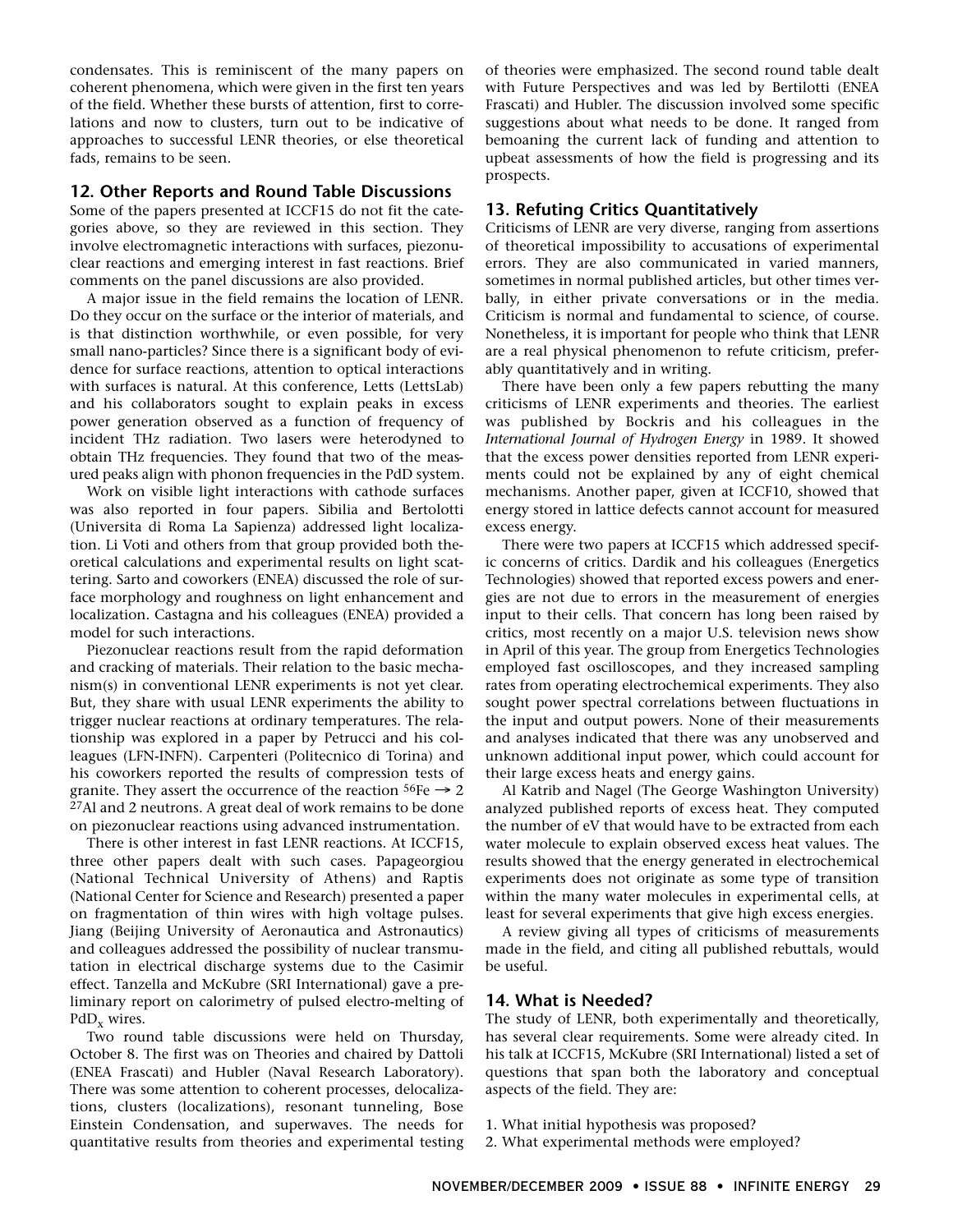condensates. This is reminiscent of the many papers on coherent phenomena, which were given in the first ten years of the field. Whether these bursts of attention, first to correlations and now to clusters, turn out to be indicative of approaches to successful LENR theories, or else theoretical fads, remains to be seen.

# **12. Other Reports and Round Table Discussions**

Some of the papers presented at ICCF15 do not fit the categories above, so they are reviewed in this section. They involve electromagnetic interactions with surfaces, piezonuclear reactions and emerging interest in fast reactions. Brief comments on the panel discussions are also provided.

A major issue in the field remains the location of LENR. Do they occur on the surface or the interior of materials, and is that distinction worthwhile, or even possible, for very small nano-particles? Since there is a significant body of evidence for surface reactions, attention to optical interactions with surfaces is natural. At this conference, Letts (LettsLab) and his collaborators sought to explain peaks in excess power generation observed as a function of frequency of incident THz radiation. Two lasers were heterodyned to obtain THz frequencies. They found that two of the measured peaks align with phonon frequencies in the PdD system.

Work on visible light interactions with cathode surfaces was also reported in four papers. Sibilia and Bertolotti (Universita di Roma La Sapienza) addressed light localization. Li Voti and others from that group provided both theoretical calculations and experimental results on light scattering. Sarto and coworkers (ENEA) discussed the role of surface morphology and roughness on light enhancement and localization. Castagna and his colleagues (ENEA) provided a model for such interactions.

Piezonuclear reactions result from the rapid deformation and cracking of materials. Their relation to the basic mechanism(s) in conventional LENR experiments is not yet clear. But, they share with usual LENR experiments the ability to trigger nuclear reactions at ordinary temperatures. The relationship was explored in a paper by Petrucci and his colleagues (LFN-INFN). Carpenteri (Politecnico di Torina) and his coworkers reported the results of compression tests of granite. They assert the occurrence of the reaction  $56Fe \rightarrow 2$ 27Al and 2 neutrons. A great deal of work remains to be done on piezonuclear reactions using advanced instrumentation.

There is other interest in fast LENR reactions. At ICCF15, three other papers dealt with such cases. Papageorgiou (National Technical University of Athens) and Raptis (National Center for Science and Research) presented a paper on fragmentation of thin wires with high voltage pulses. Jiang (Beijing University of Aeronautica and Astronautics) and colleagues addressed the possibility of nuclear transmutation in electrical discharge systems due to the Casimir effect. Tanzella and McKubre (SRI International) gave a preliminary report on calorimetry of pulsed electro-melting of  $PdD<sub>x</sub>$  wires.

Two round table discussions were held on Thursday, October 8. The first was on Theories and chaired by Dattoli (ENEA Frascati) and Hubler (Naval Research Laboratory). There was some attention to coherent processes, delocalizations, clusters (localizations), resonant tunneling, Bose Einstein Condensation, and superwaves. The needs for quantitative results from theories and experimental testing of theories were emphasized. The second round table dealt with Future Perspectives and was led by Bertilotti (ENEA Frascati) and Hubler. The discussion involved some specific suggestions about what needs to be done. It ranged from bemoaning the current lack of funding and attention to upbeat assessments of how the field is progressing and its prospects.

# **13. Refuting Critics Quantitatively**

Criticisms of LENR are very diverse, ranging from assertions of theoretical impossibility to accusations of experimental errors. They are also communicated in varied manners, sometimes in normal published articles, but other times verbally, in either private conversations or in the media. Criticism is normal and fundamental to science, of course. Nonetheless, it is important for people who think that LENR are a real physical phenomenon to refute criticism, preferably quantitatively and in writing.

There have been only a few papers rebutting the many criticisms of LENR experiments and theories. The earliest was published by Bockris and his colleagues in the *International Journal of Hydrogen Energy* in 1989. It showed that the excess power densities reported from LENR experiments could not be explained by any of eight chemical mechanisms. Another paper, given at ICCF10, showed that energy stored in lattice defects cannot account for measured excess energy.

There were two papers at ICCF15 which addressed specific concerns of critics. Dardik and his colleagues (Energetics Technologies) showed that reported excess powers and energies are not due to errors in the measurement of energies input to their cells. That concern has long been raised by critics, most recently on a major U.S. television news show in April of this year. The group from Energetics Technologies employed fast oscilloscopes, and they increased sampling rates from operating electrochemical experiments. They also sought power spectral correlations between fluctuations in the input and output powers. None of their measurements and analyses indicated that there was any unobserved and unknown additional input power, which could account for their large excess heats and energy gains.

Al Katrib and Nagel (The George Washington University) analyzed published reports of excess heat. They computed the number of eV that would have to be extracted from each water molecule to explain observed excess heat values. The results showed that the energy generated in electrochemical experiments does not originate as some type of transition within the many water molecules in experimental cells, at least for several experiments that give high excess energies.

A review giving all types of criticisms of measurements made in the field, and citing all published rebuttals, would be useful.

# **14. What is Needed?**

The study of LENR, both experimentally and theoretically, has several clear requirements. Some were already cited. In his talk at ICCF15, McKubre (SRI International) listed a set of questions that span both the laboratory and conceptual aspects of the field. They are:

- 1. What initial hypothesis was proposed?
- 2. What experimental methods were employed?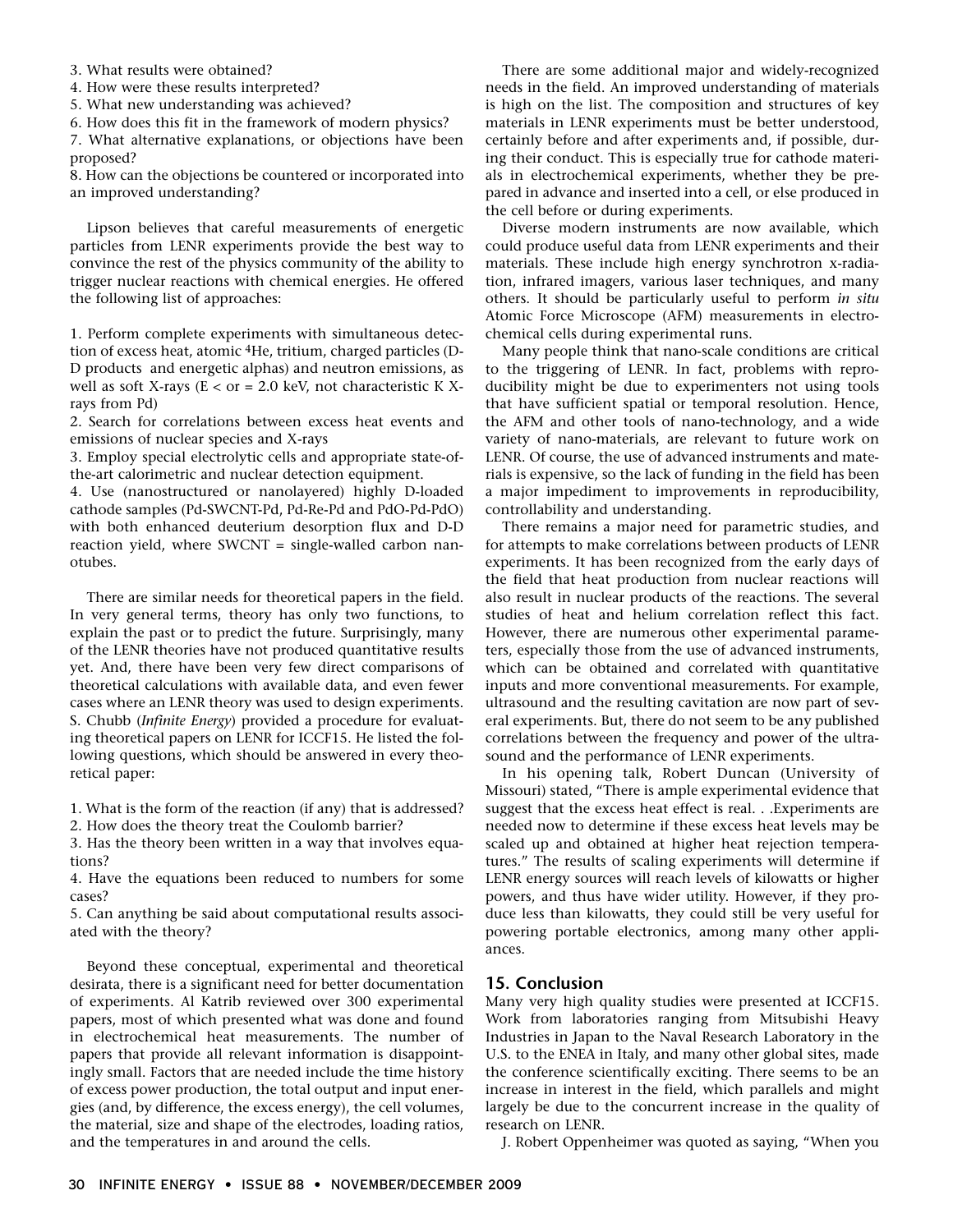- 3. What results were obtained?
- 4. How were these results interpreted?
- 5. What new understanding was achieved?

6. How does this fit in the framework of modern physics?

7. What alternative explanations, or objections have been proposed?

8. How can the objections be countered or incorporated into an improved understanding?

Lipson believes that careful measurements of energetic particles from LENR experiments provide the best way to convince the rest of the physics community of the ability to trigger nuclear reactions with chemical energies. He offered the following list of approaches:

1. Perform complete experiments with simultaneous detection of excess heat, atomic <sup>4</sup>He, tritium, charged particles (D-D products and energetic alphas) and neutron emissions, as well as soft X-rays ( $E < or = 2.0$  keV, not characteristic K Xrays from Pd)

2. Search for correlations between excess heat events and emissions of nuclear species and X-rays

3. Employ special electrolytic cells and appropriate state-ofthe-art calorimetric and nuclear detection equipment.

4. Use (nanostructured or nanolayered) highly D-loaded cathode samples (Pd-SWCNT-Pd, Pd-Re-Pd and PdO-Pd-PdO) with both enhanced deuterium desorption flux and D-D reaction yield, where SWCNT = single-walled carbon nanotubes.

There are similar needs for theoretical papers in the field. In very general terms, theory has only two functions, to explain the past or to predict the future. Surprisingly, many of the LENR theories have not produced quantitative results yet. And, there have been very few direct comparisons of theoretical calculations with available data, and even fewer cases where an LENR theory was used to design experiments. S. Chubb (*Infinite Energy*) provided a procedure for evaluating theoretical papers on LENR for ICCF15. He listed the following questions, which should be answered in every theoretical paper:

- 1. What is the form of the reaction (if any) that is addressed?
- 2. How does the theory treat the Coulomb barrier?

3. Has the theory been written in a way that involves equations?

4. Have the equations been reduced to numbers for some cases?

5. Can anything be said about computational results associated with the theory?

Beyond these conceptual, experimental and theoretical desirata, there is a significant need for better documentation of experiments. Al Katrib reviewed over 300 experimental papers, most of which presented what was done and found in electrochemical heat measurements. The number of papers that provide all relevant information is disappointingly small. Factors that are needed include the time history of excess power production, the total output and input energies (and, by difference, the excess energy), the cell volumes, the material, size and shape of the electrodes, loading ratios, and the temperatures in and around the cells.

There are some additional major and widely-recognized needs in the field. An improved understanding of materials is high on the list. The composition and structures of key materials in LENR experiments must be better understood, certainly before and after experiments and, if possible, during their conduct. This is especially true for cathode materials in electrochemical experiments, whether they be prepared in advance and inserted into a cell, or else produced in the cell before or during experiments.

Diverse modern instruments are now available, which could produce useful data from LENR experiments and their materials. These include high energy synchrotron x-radiation, infrared imagers, various laser techniques, and many others. It should be particularly useful to perform *in situ* Atomic Force Microscope (AFM) measurements in electrochemical cells during experimental runs.

Many people think that nano-scale conditions are critical to the triggering of LENR. In fact, problems with reproducibility might be due to experimenters not using tools that have sufficient spatial or temporal resolution. Hence, the AFM and other tools of nano-technology, and a wide variety of nano-materials, are relevant to future work on LENR. Of course, the use of advanced instruments and materials is expensive, so the lack of funding in the field has been a major impediment to improvements in reproducibility, controllability and understanding.

There remains a major need for parametric studies, and for attempts to make correlations between products of LENR experiments. It has been recognized from the early days of the field that heat production from nuclear reactions will also result in nuclear products of the reactions. The several studies of heat and helium correlation reflect this fact. However, there are numerous other experimental parameters, especially those from the use of advanced instruments, which can be obtained and correlated with quantitative inputs and more conventional measurements. For example, ultrasound and the resulting cavitation are now part of several experiments. But, there do not seem to be any published correlations between the frequency and power of the ultrasound and the performance of LENR experiments.

In his opening talk, Robert Duncan (University of Missouri) stated, "There is ample experimental evidence that suggest that the excess heat effect is real. . .Experiments are needed now to determine if these excess heat levels may be scaled up and obtained at higher heat rejection temperatures." The results of scaling experiments will determine if LENR energy sources will reach levels of kilowatts or higher powers, and thus have wider utility. However, if they produce less than kilowatts, they could still be very useful for powering portable electronics, among many other appliances.

# **15. Conclusion**

Many very high quality studies were presented at ICCF15. Work from laboratories ranging from Mitsubishi Heavy Industries in Japan to the Naval Research Laboratory in the U.S. to the ENEA in Italy, and many other global sites, made the conference scientifically exciting. There seems to be an increase in interest in the field, which parallels and might largely be due to the concurrent increase in the quality of research on LENR.

J. Robert Oppenheimer was quoted as saying, "When you